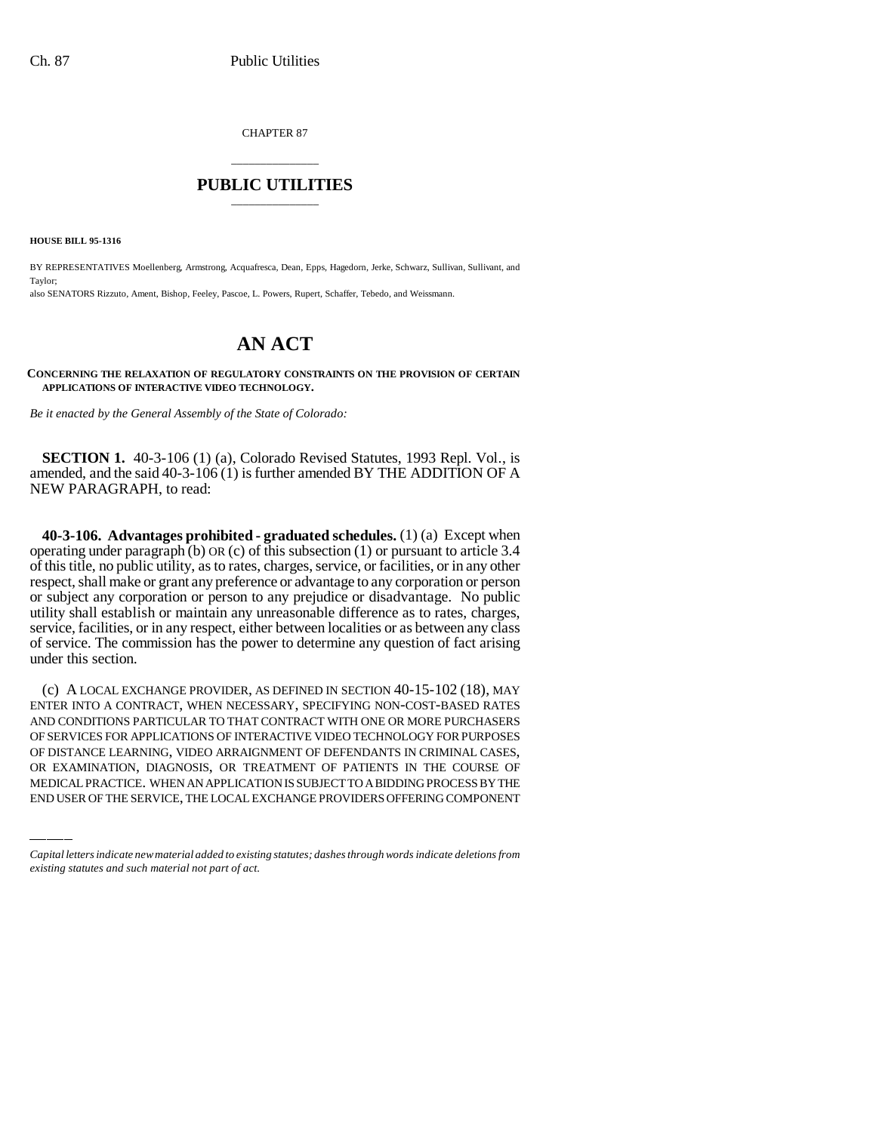CHAPTER 87

## \_\_\_\_\_\_\_\_\_\_\_\_\_\_\_ **PUBLIC UTILITIES** \_\_\_\_\_\_\_\_\_\_\_\_\_\_\_

**HOUSE BILL 95-1316**

BY REPRESENTATIVES Moellenberg, Armstrong, Acquafresca, Dean, Epps, Hagedorn, Jerke, Schwarz, Sullivan, Sullivant, and Taylor; also SENATORS Rizzuto, Ament, Bishop, Feeley, Pascoe, L. Powers, Rupert, Schaffer, Tebedo, and Weissmann.

## **AN ACT**

**CONCERNING THE RELAXATION OF REGULATORY CONSTRAINTS ON THE PROVISION OF CERTAIN APPLICATIONS OF INTERACTIVE VIDEO TECHNOLOGY.**

*Be it enacted by the General Assembly of the State of Colorado:*

**SECTION 1.** 40-3-106 (1) (a), Colorado Revised Statutes, 1993 Repl. Vol., is amended, and the said 40-3-106 (1) is further amended BY THE ADDITION OF A NEW PARAGRAPH, to read:

**40-3-106. Advantages prohibited - graduated schedules.** (1) (a) Except when operating under paragraph (b) OR (c) of this subsection (1) or pursuant to article 3.4 of this title, no public utility, as to rates, charges, service, or facilities, or in any other respect, shall make or grant any preference or advantage to any corporation or person or subject any corporation or person to any prejudice or disadvantage. No public utility shall establish or maintain any unreasonable difference as to rates, charges, service, facilities, or in any respect, either between localities or as between any class of service. The commission has the power to determine any question of fact arising under this section.

OF SERVICES FOR APPLICATIONS OF INTERACTIVE VIDEO TECHNOLOGY FOR PURPOSES (c) A LOCAL EXCHANGE PROVIDER, AS DEFINED IN SECTION 40-15-102 (18), MAY ENTER INTO A CONTRACT, WHEN NECESSARY, SPECIFYING NON-COST-BASED RATES AND CONDITIONS PARTICULAR TO THAT CONTRACT WITH ONE OR MORE PURCHASERS OF DISTANCE LEARNING, VIDEO ARRAIGNMENT OF DEFENDANTS IN CRIMINAL CASES, OR EXAMINATION, DIAGNOSIS, OR TREATMENT OF PATIENTS IN THE COURSE OF MEDICAL PRACTICE. WHEN AN APPLICATION IS SUBJECT TO A BIDDING PROCESS BY THE END USER OF THE SERVICE, THE LOCAL EXCHANGE PROVIDERS OFFERING COMPONENT

*Capital letters indicate new material added to existing statutes; dashes through words indicate deletions from existing statutes and such material not part of act.*